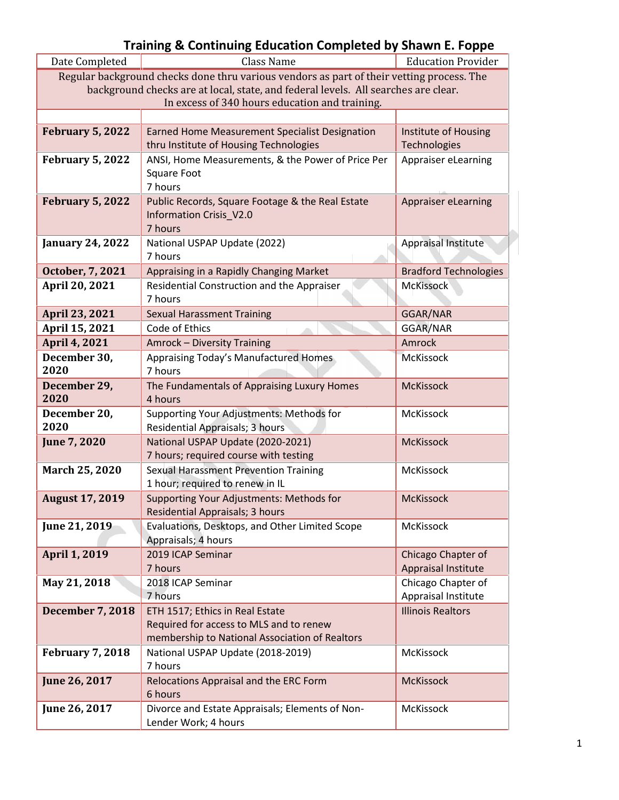| Date Completed          | Class Name                                                                                | <b>Education Provider</b>    |
|-------------------------|-------------------------------------------------------------------------------------------|------------------------------|
|                         | Regular background checks done thru various vendors as part of their vetting process. The |                              |
|                         | background checks are at local, state, and federal levels. All searches are clear.        |                              |
|                         | In excess of 340 hours education and training.                                            |                              |
|                         |                                                                                           |                              |
| <b>February 5, 2022</b> | <b>Earned Home Measurement Specialist Designation</b>                                     | Institute of Housing         |
|                         | thru Institute of Housing Technologies                                                    | Technologies                 |
| <b>February 5, 2022</b> | ANSI, Home Measurements, & the Power of Price Per                                         | Appraiser eLearning          |
|                         | Square Foot                                                                               |                              |
|                         | 7 hours                                                                                   |                              |
| <b>February 5, 2022</b> | Public Records, Square Footage & the Real Estate                                          | Appraiser eLearning          |
|                         | <b>Information Crisis_V2.0</b>                                                            |                              |
|                         | 7 hours                                                                                   |                              |
| <b>January 24, 2022</b> | National USPAP Update (2022)                                                              | <b>Appraisal Institute</b>   |
|                         | 7 hours                                                                                   |                              |
| October, 7, 2021        | Appraising in a Rapidly Changing Market                                                   | <b>Bradford Technologies</b> |
| April 20, 2021          | Residential Construction and the Appraiser                                                | <b>McKissock</b>             |
|                         | 7 hours                                                                                   |                              |
| April 23, 2021          | <b>Sexual Harassment Training</b>                                                         | GGAR/NAR                     |
| April 15, 2021          | Code of Ethics                                                                            | GGAR/NAR                     |
| April 4, 2021           | Amrock - Diversity Training                                                               | Amrock                       |
| December 30,            | Appraising Today's Manufactured Homes                                                     | McKissock                    |
| 2020                    | 7 hours                                                                                   |                              |
| December 29,            | The Fundamentals of Appraising Luxury Homes                                               | <b>McKissock</b>             |
| 2020                    | 4 hours                                                                                   |                              |
| December 20,            | Supporting Your Adjustments: Methods for                                                  | McKissock                    |
| 2020                    | Residential Appraisals; 3 hours                                                           |                              |
| June 7, 2020            | National USPAP Update (2020-2021)                                                         | <b>McKissock</b>             |
|                         | 7 hours; required course with testing                                                     |                              |
| March 25, 2020          | <b>Sexual Harassment Prevention Training</b>                                              | McKissock                    |
|                         | 1 hour; required to renew in IL                                                           |                              |
| <b>August 17, 2019</b>  | Supporting Your Adjustments: Methods for                                                  | <b>McKissock</b>             |
|                         | Residential Appraisals; 3 hours                                                           |                              |
| June 21, 2019           | Evaluations, Desktops, and Other Limited Scope                                            | McKissock                    |
|                         | Appraisals; 4 hours                                                                       |                              |
| <b>April 1, 2019</b>    | 2019 ICAP Seminar                                                                         | Chicago Chapter of           |
|                         | 7 hours                                                                                   | Appraisal Institute          |
| May 21, 2018            | 2018 ICAP Seminar                                                                         | Chicago Chapter of           |
|                         | 7 hours                                                                                   | Appraisal Institute          |
| <b>December 7, 2018</b> | ETH 1517; Ethics in Real Estate                                                           | <b>Illinois Realtors</b>     |
|                         | Required for access to MLS and to renew                                                   |                              |
|                         | membership to National Association of Realtors                                            |                              |
| <b>February 7, 2018</b> | National USPAP Update (2018-2019)                                                         | McKissock                    |
|                         | 7 hours                                                                                   |                              |
| June 26, 2017           | Relocations Appraisal and the ERC Form                                                    | <b>McKissock</b>             |
|                         | 6 hours                                                                                   |                              |
| June 26, 2017           | Divorce and Estate Appraisals; Elements of Non-                                           | McKissock                    |
|                         | Lender Work; 4 hours                                                                      |                              |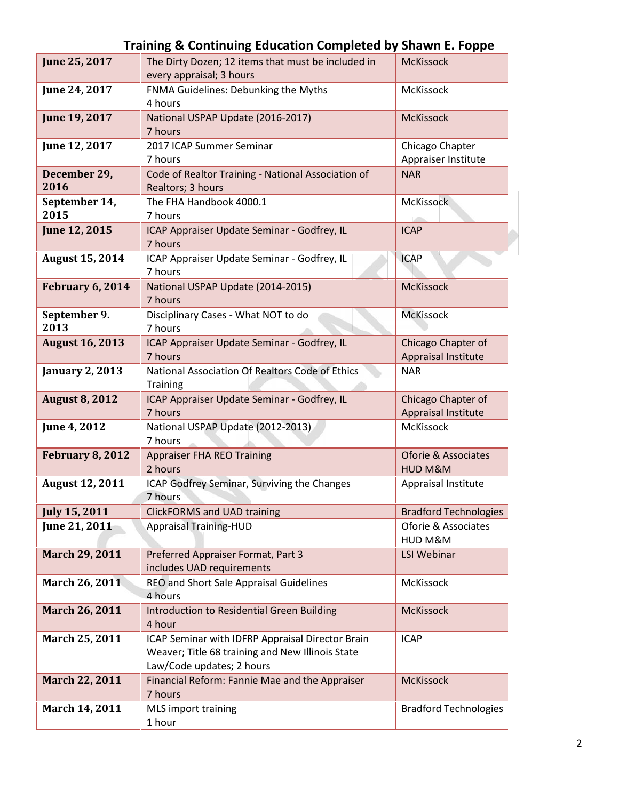| June 25, 2017           | The Dirty Dozen; 12 items that must be included in                      | <b>McKissock</b>                  |
|-------------------------|-------------------------------------------------------------------------|-----------------------------------|
|                         | every appraisal; 3 hours                                                |                                   |
| June 24, 2017           | FNMA Guidelines: Debunking the Myths                                    | McKissock                         |
|                         | 4 hours                                                                 |                                   |
| June 19, 2017           | National USPAP Update (2016-2017)                                       | <b>McKissock</b>                  |
|                         | 7 hours                                                                 |                                   |
| June 12, 2017           | 2017 ICAP Summer Seminar<br>7 hours                                     | Chicago Chapter                   |
| December 29,            |                                                                         | Appraiser Institute<br><b>NAR</b> |
| 2016                    | Code of Realtor Training - National Association of<br>Realtors; 3 hours |                                   |
| September 14,           | The FHA Handbook 4000.1                                                 | <b>McKissock</b>                  |
| 2015                    | 7 hours                                                                 |                                   |
| June 12, 2015           | ICAP Appraiser Update Seminar - Godfrey, IL                             | <b>ICAP</b>                       |
|                         | 7 hours                                                                 |                                   |
| <b>August 15, 2014</b>  | ICAP Appraiser Update Seminar - Godfrey, IL                             | <b>ICAP</b>                       |
|                         | 7 hours                                                                 |                                   |
| February 6, 2014        | National USPAP Update (2014-2015)                                       | <b>McKissock</b>                  |
|                         | 7 hours                                                                 |                                   |
| September 9.            | Disciplinary Cases - What NOT to do                                     | <b>McKissock</b>                  |
| 2013                    | 7 hours                                                                 |                                   |
| <b>August 16, 2013</b>  | ICAP Appraiser Update Seminar - Godfrey, IL                             | Chicago Chapter of                |
|                         | 7 hours                                                                 | Appraisal Institute               |
| <b>January 2, 2013</b>  | National Association Of Realtors Code of Ethics                         | <b>NAR</b>                        |
| <b>August 8, 2012</b>   | <b>Training</b><br>ICAP Appraiser Update Seminar - Godfrey, IL          | Chicago Chapter of                |
|                         | 7 hours                                                                 | Appraisal Institute               |
| June 4, 2012            | National USPAP Update (2012-2013)                                       | McKissock                         |
|                         | 7 hours                                                                 |                                   |
| <b>February 8, 2012</b> | <b>Appraiser FHA REO Training</b>                                       | <b>Oforie &amp; Associates</b>    |
|                         | 2 hours                                                                 | HUD M&M                           |
| <b>August 12, 2011</b>  | ICAP Godfrey Seminar, Surviving the Changes                             | Appraisal Institute               |
|                         | 7 hours                                                                 |                                   |
| <b>July 15, 2011</b>    | <b>ClickFORMS and UAD training</b>                                      | <b>Bradford Technologies</b>      |
| June 21, 2011           | <b>Appraisal Training-HUD</b>                                           | Oforie & Associates               |
|                         |                                                                         | HUD M&M                           |
| March 29, 2011          | Preferred Appraiser Format, Part 3                                      | <b>LSI Webinar</b>                |
|                         | includes UAD requirements                                               |                                   |
| March 26, 2011          | REO and Short Sale Appraisal Guidelines<br>4 hours                      | McKissock                         |
| March 26, 2011          | Introduction to Residential Green Building                              | <b>McKissock</b>                  |
|                         | 4 hour                                                                  |                                   |
| March 25, 2011          | ICAP Seminar with IDFRP Appraisal Director Brain                        | <b>ICAP</b>                       |
|                         | Weaver; Title 68 training and New Illinois State                        |                                   |
|                         | Law/Code updates; 2 hours                                               |                                   |
| March 22, 2011          | Financial Reform: Fannie Mae and the Appraiser                          | <b>McKissock</b>                  |
|                         | 7 hours                                                                 |                                   |
| March 14, 2011          | MLS import training                                                     | <b>Bradford Technologies</b>      |
|                         | 1 hour                                                                  |                                   |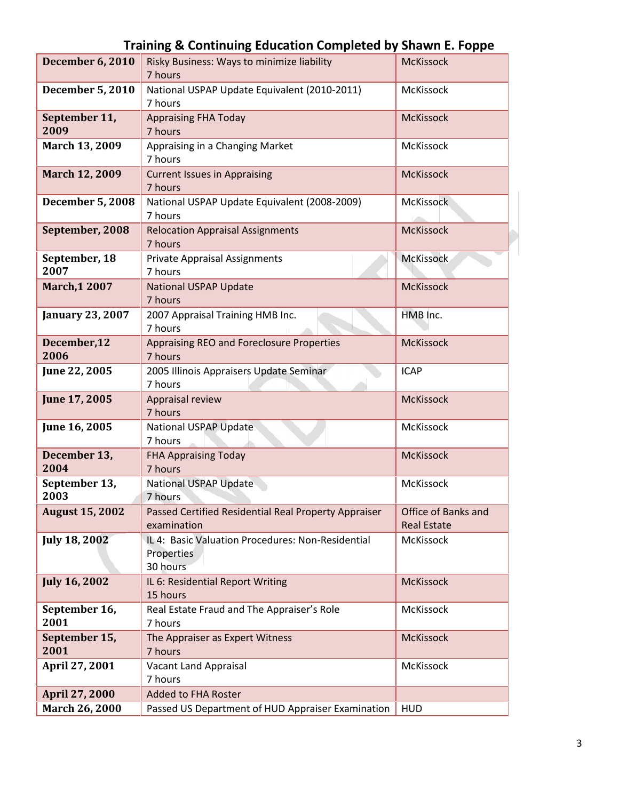|                         | $\ldots$ $\ldots$ $\ldots$ $\ldots$ $\ldots$ $\ldots$ $\ldots$ $\ldots$ $\ldots$ $\ldots$ $\ldots$ $\ldots$ $\ldots$ |                                           |
|-------------------------|----------------------------------------------------------------------------------------------------------------------|-------------------------------------------|
| <b>December 6, 2010</b> | Risky Business: Ways to minimize liability<br>7 hours                                                                | <b>McKissock</b>                          |
| <b>December 5, 2010</b> | National USPAP Update Equivalent (2010-2011)<br>7 hours                                                              | McKissock                                 |
| September 11,<br>2009   | <b>Appraising FHA Today</b><br>7 hours                                                                               | <b>McKissock</b>                          |
| March 13, 2009          | Appraising in a Changing Market<br>7 hours                                                                           | McKissock                                 |
| March 12, 2009          | <b>Current Issues in Appraising</b><br>7 hours                                                                       | <b>McKissock</b>                          |
| <b>December 5, 2008</b> | National USPAP Update Equivalent (2008-2009)<br>7 hours                                                              | <b>McKissock</b>                          |
| September, 2008         | <b>Relocation Appraisal Assignments</b><br>7 hours                                                                   | <b>McKissock</b>                          |
| September, 18<br>2007   | <b>Private Appraisal Assignments</b><br>7 hours                                                                      | <b>McKissock</b>                          |
| <b>March, 1 2007</b>    | <b>National USPAP Update</b><br>7 hours                                                                              | <b>McKissock</b>                          |
| <b>January 23, 2007</b> | 2007 Appraisal Training HMB Inc.<br>7 hours                                                                          | HMB Inc.                                  |
| December, 12<br>2006    | Appraising REO and Foreclosure Properties<br>7 hours                                                                 | <b>McKissock</b>                          |
| June 22, 2005           | 2005 Illinois Appraisers Update Seminar<br>7 hours                                                                   | <b>ICAP</b>                               |
| June 17, 2005           | Appraisal review<br>7 hours                                                                                          | <b>McKissock</b>                          |
| June 16, 2005           | <b>National USPAP Update</b><br>7 hours                                                                              | McKissock                                 |
| December 13,<br>2004    | <b>FHA Appraising Today</b><br>7 hours                                                                               | <b>McKissock</b>                          |
| September 13,<br>2003   | <b>National USPAP Update</b><br>7 hours                                                                              | McKissock                                 |
| <b>August 15, 2002</b>  | Passed Certified Residential Real Property Appraiser<br>examination                                                  | Office of Banks and<br><b>Real Estate</b> |
| <b>July 18, 2002</b>    | IL 4: Basic Valuation Procedures: Non-Residential<br>Properties<br>30 hours                                          | McKissock                                 |
| <b>July 16, 2002</b>    | IL 6: Residential Report Writing<br>15 hours                                                                         | <b>McKissock</b>                          |
| September 16,<br>2001   | Real Estate Fraud and The Appraiser's Role<br>7 hours                                                                | McKissock                                 |
| September 15,<br>2001   | The Appraiser as Expert Witness<br>7 hours                                                                           | <b>McKissock</b>                          |
| April 27, 2001          | Vacant Land Appraisal<br>7 hours                                                                                     | McKissock                                 |
| <b>April 27, 2000</b>   | <b>Added to FHA Roster</b>                                                                                           |                                           |
| March 26, 2000          | Passed US Department of HUD Appraiser Examination                                                                    | <b>HUD</b>                                |
|                         |                                                                                                                      |                                           |